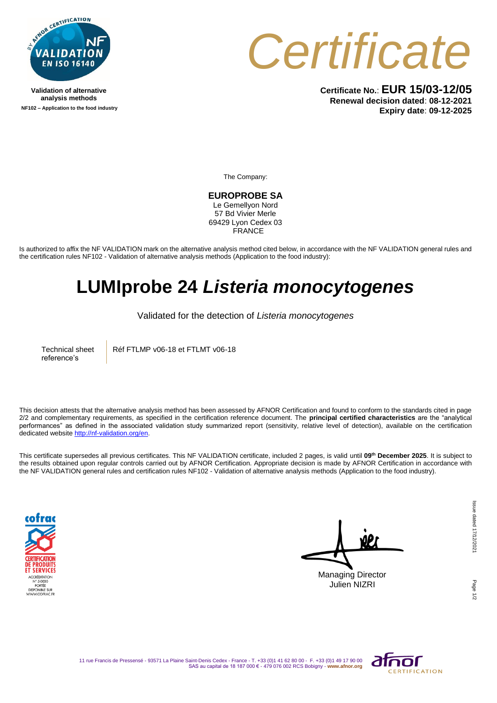

**Validation of alternative analysis methods NF102 – Application to the food industry**



**Certificate No.**: **EUR 15/03-12/05 Renewal decision dated**: **08-12-2021 Expiry date**: **09-12-2025**

The Company:

**EUROPROBE SA** Le Gemellyon Nord 57 Bd Vivier Merle 69429 Lyon Cedex 03 **FRANCE** 

Is authorized to affix the NF VALIDATION mark on the alternative analysis method cited below, in accordance with the NF VALIDATION general rules and the certification rules NF102 - Validation of alternative analysis methods (Application to the food industry):

## **LUMIprobe 24** *Listeria monocytogenes*

Validated for the detection of *Listeria monocytogenes*

Technical sheet reference's

Réf FTLMP v06-18 et FTLMT v06-18

This decision attests that the alternative analysis method has been assessed by AFNOR Certification and found to conform to the standards cited in page 2/2 and complementary requirements, as specified in the certification reference document. The **principal certified characteristics** are the "analytical performances" as defined in the associated validation study summarized report (sensitivity, relative level of detection), available on the certification dedicated websit[e http://nf-validation.org/en.](http://nf-validation.org/en)

This certificate supersedes all previous certificates. This NF VALIDATION certificate, included 2 pages, is valid until **09th December 2025**. It is subject to the results obtained upon regular controls carried out by AFNOR Certification. Appropriate decision is made by AFNOR Certification in accordance with the NF VALIDATION general rules and certification rules NF102 - Validation of alternative analysis methods (Application to the food industry).



Managing Director Julien NIZRI